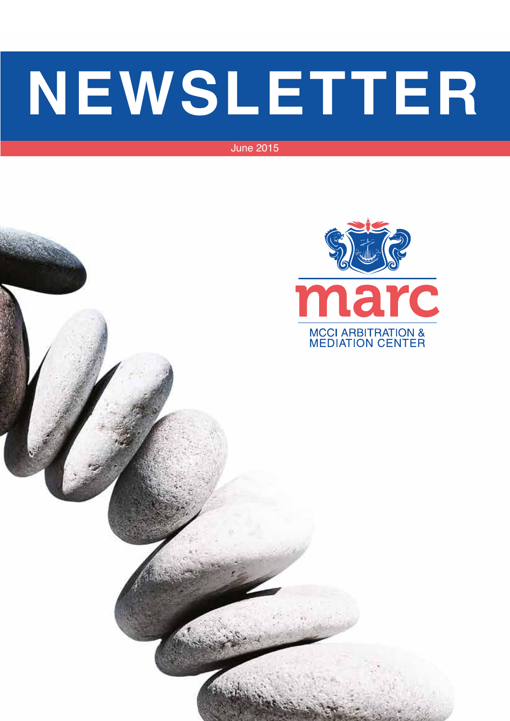# **NEWSLETTER**

June 2015

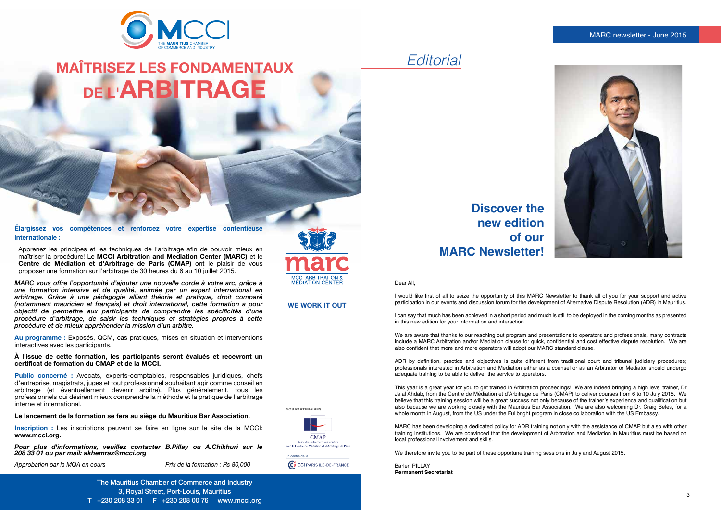#### MARC newsletter - June 2015



Dear All,

I would like first of all to seize the opportunity of this MARC Newsletter to thank all of you for your support and active participation in our events and discussion forum for the development of Alternative Dispute Resolution (ADR) in Mauritius.

I can say that much has been achieved in a short period and much is still to be deployed in the coming months as presented in this new edition for your information and interaction.

We are aware that thanks to our reaching out program and presentations to operators and professionals, many contracts include a MARC Arbitration and/or Mediation clause for quick, confidential and cost effective dispute resolution. We are also confident that more and more operators will adopt our MARC standard clause.

ADR by definition, practice and objectives is quite different from traditional court and tribunal judiciary procedures; professionals interested in Arbitration and Mediation either as a counsel or as an Arbitrator or Mediator should undergo adequate training to be able to deliver the service to operators.

Barlen PILLAY **Permanent Secretariat**

This year is a great year for you to get trained in Arbitration proceedings! We are indeed bringing a high level trainer, Dr Jalal Ahdab, from the Centre de Médiation et d'Arbitrage de Paris (CMAP) to deliver courses from 6 to 10 July 2015. We believe that this training session will be a great success not only because of the trainer's experience and qualification but also because we are working closely with the Mauritius Bar Association. We are also welcoming Dr. Craig Beles, for a whole month in August, from the US under the Fullbright program in close collaboration with the US Embassy.

MARC has been developing a dedicated policy for ADR training not only with the assistance of CMAP but also with other training institutions. We are convinced that the development of Arbitration and Mediation in Mauritius must be based on local professional involvement and skills.

We therefore invite you to be part of these opportune training sessions in July and August 2015.

*Editorial*

## **Discover the new edition of our MARC Newsletter!**



## **MAÎTRISEZ LES FONDAMENTAUX DE L'ARBITRAGE**

The Mauritius Chamber of Commerce and Industry 3, Royal Street, Port-Louis, Mauritius **T** +230 208 33 01 **F** +230 208 00 76 www.mcci.org



**Élargissez vos compétences et renforcez votre expertise contentieuse internationale :**

Apprenez les principes et les techniques de l'arbitrage afin de pouvoir mieux en maîtriser la procédure! Le **MCCI Arbitration and Mediation Center (MARC)** et le **Centre de Médiation et d'Arbitrage de Paris (CMAP)** ont le plaisir de vous proposer une formation sur l'arbitrage de 30 heures du 6 au 10 juillet 2015.

*MARC vous offre l'opportunité d'ajouter une nouvelle corde à votre arc, grâce à une formation intensive et de qualité, animée par un expert international en arbitrage. Grâce à une pédagogie alliant théorie et pratique, droit comparé (notamment mauricien et français) et droit international, cette formation a pour objectif de permettre aux participants de comprendre les spécificités d'une procédure d'arbitrage, de saisir les techniques et stratégies propres à cette procédure et de mieux appréhender la mission d'un arbitre.*

**Au programme :** Exposés, QCM, cas pratiques, mises en situation et interventions interactives avec les participants.

**À l'issue de cette formation, les participants seront évalués et recevront un certificat de formation du CMAP et de la MCCI.**

**Public concerné :** Avocats, experts-comptables, responsables juridiques, chefs d'entreprise, magistrats, juges et tout professionnel souhaitant agir comme conseil en arbitrage (et éventuellement devenir arbitre). Plus généralement, tous les professionnels qui désirent mieux comprendre la méthode et la pratique de l'arbitrage interne et international.

**Le lancement de la formation se fera au siège du Mauritius Bar Association.**

**Inscription :** Les inscriptions peuvent se faire en ligne sur le site de la MCCI: **www.mcci.org.**

*Pour plus d'informations, veuillez contacter B.Pillay ou A.Chikhuri sur le 208 33 01 ou par mail: akhemraz@mcci.org*

*Approbation par la MQA en cours Prix de la formation : Rs 80,000*

**NOS PARTENAIRES**

**CMAP** Résoudre autrement vos conflits<br>avec le Centre de Médiation et d'Arbitrage de Paris

CO CCI PARIS ILE-DE-FRANCE

un centre de la

**WE WORK IT OUT**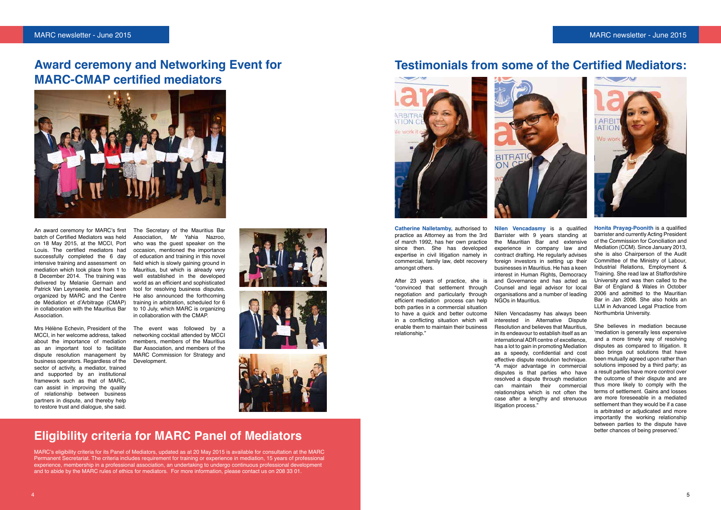#### MARC newsletter - June 2015 MARC newsletter - June 2015



An award ceremony for MARC's first batch of Certified Mediators was held on 18 May 2015, at the MCCI, Port Louis. The certified mediators had successfully completed the 6 day intensive training and assessment on mediation which took place from 1 to 8 December 2014. The training was delivered by Melanie Germain and Patrick Van Leynseele, and had been organized by MARC and the Centre de Médiation et d'Arbitrage (CMAP) in collaboration with the Mauritius Bar **Association** 

Mrs Hélène Echevin, President of the MCCI, in her welcome address, talked about the importance of mediation as an important tool to facilitate dispute resolution management by business operators. Regardless of the sector of activity, a mediator, trained and supported by an institutional framework such as that of MARC, can assist in improving the quality of relationship between business partners in dispute, and thereby help to restore trust and dialogue, she said.

The Secretary of the Mauritius Bar Association, Mr Yahia Nazroo, who was the quest speaker on the occasion, mentioned the importance of education and training in this novel field which is slowly gaining ground in Mauritius, but which is already very well established in the developed world as an efficient and sophisticated tool for resolving business disputes. He also announced the forthcoming training in arbitration, scheduled for 6 to 10 July, which MARC is organizing in collaboration with the CMAP.

The event was followed by a networking cocktail attended by MCCI members, members of the Mauritius Bar Association, and members of the MARC Commission for Strategy and Development.







Nilen Vencadasmy has always been interested in Alternative Dispute Resolution and believes that Mauritius, in its endeavour to establish itself as an international ADR centre of excellence, has a lot to gain in promoting Mediation as a speedy, confidential and cost effective dispute resolution technique. "A major advantage in commercial disputes is that parties who have resolved a dispute through mediation can maintain their commercial relationships which is not often the case after a lengthy and strenuous litigation process.'

## **Award ceremony and Networking Event for MARC-CMAP certified mediators**



## **Eligibility criteria for MARC Panel of Mediators**

MARC's eligibility criteria for its Panel of Mediators, updated as at 20 May 2015 is available for consultation at the MARC Permanent Secretariat. The criteria includes requirement for training or experience in mediation, 15 years of professional experience, membership in a professional association, an undertaking to undergo continuous professional development and to abide by the MARC rules of ethics for mediators. For more information, please contact us on 208 33 01.

## **Testimonials from some of the Certified Mediators:**





**Catherine Nalletamby,** authorised to practice as Attorney as from the 3rd of march 1992, has her own practice since then. She has developed expertise in civil litigation namely in commercial, family law, debt recovery amongst others.

After 23 years of practice, she is "convinced that settlement through negotiation and particularly through efficient mediation process can help both parties in a commercial situation to have a quick and better outcome in a conflicting situation which will enable them to maintain their business relationship."

**Nilen Vencadasmy** is a qualified Barrister with 9 years standing at the Mauritian Bar and extensive experience in company law and contract drafting. He regularly advises foreign investors in setting up their businesses in Mauritius. He has a keen interest in Human Rights, Democracy and Governance and has acted as Counsel and legal advisor for local organisations and a number of leading NGOs in Mauritius.

**Honita Prayag-Poonith** is a qualified barrister and currently Acting President of the Commission for Conciliation and Mediation (CCM). Since January 2013, she is also Chairperson of the Audit Committee of the Ministry of Labour, Industrial Relations, Employment & Training. She read law at Staffordshire University and was then called to the Bar of England & Wales in October 2006 and admitted to the Mauritian Bar in Jan 2008. She also holds an LLM in Advanced Legal Practice from Northumbria University.

She believes in mediation because 'mediation is generally less expensive and a more timely way of resolving disputes as compared to litigation. It also brings out solutions that have been mutually agreed upon rather than solutions imposed by a third party; as a result parties have more control over the outcome of their dispute and are thus more likely to comply with the terms of settlement. Gains and losses are more foreseeable in a mediated settlement than they would be if a case is arbitrated or adjudicated and more importantly the working relationship between parties to the dispute have better chances of being preserved.'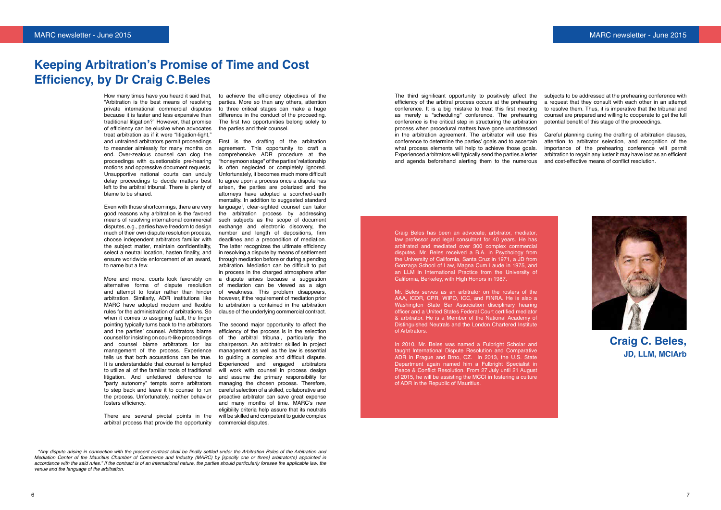#### MARC newsletter - June 2015 MARC newsletter - June 2015



## **Keeping Arbitration's Promise of Time and Cost Efficiency, by Dr Craig C.Beles**

How many times have you heard it said that, "Arbitration is the best means of resolving private international commercial disputes because it is faster and less expensive than traditional litigation?" However, that promise of efficiency can be elusive when advocates treat arbitration as if it were "litigation-light," and untrained arbitrators permit proceedings to meander aimlessly for many months on end. Over-zealous counsel can clog the proceedings with questionable pre-hearing motions and oppressive document requests. Unsupportive national courts can unduly delay proceedings to decide matters best left to the arbitral tribunal. There is plenty of blame to be shared.

Even with those shortcomings, there are very good reasons why arbitration is the favored means of resolving international commercial disputes, e.g., parties have freedom to design much of their own dispute resolution process, choose independent arbitrators familiar with the subject matter, maintain confidentiality, select a neutral location, hasten finality, and ensure worldwide enforcement of an award, to name but a few.

More and more, courts look favorably on alternative forms of dispute resolution and attempt to foster rather than hinder arbitration. Similarly, ADR institutions like MARC have adopted modern and flexible rules for the administration of arbitrations. So when it comes to assigning fault, the finger pointing typically turns back to the arbitrators and the parties' counsel. Arbitrators blame counsel for insisting on court-like proceedings and counsel blame arbitrators for lax management of the process. Experience tells us that both accusations can be true. It is understandable that counsel is tempted to utilize all of the familiar tools of traditional litigation. And unfettered deference to "party autonomy" tempts some arbitrators to step back and leave it to counsel to run the process. Unfortunately, neither behavior fosters efficiency.

There are several pivotal points in the arbitral process that provide the opportunity

to achieve the efficiency objectives of the parties. More so than any others, attention to three critical stages can make a huge difference in the conduct of the proceeding. The first two opportunities belong solely to the parties and their counsel.

First is the drafting of the arbitration agreement. This opportunity to craft a comprehensive ADR procedure at the "honeymoon stage" of the parties' relationship is often neglected or completely ignored. Unfortunately, it becomes much more difficult to agree upon a process once a dispute has arisen, the parties are polarized and the attorneys have adopted a scorched-earth mentality. In addition to suggested standard language<sup>1</sup> , clear-sighted counsel can tailor the arbitration process by addressing such subjects as the scope of document exchange and electronic discovery, the number and length of depositions, firm deadlines and a precondition of mediation. The latter recognizes the ultimate efficiency in resolving a dispute by means of settlement through mediation before or during a pending arbitration. Mediation can be difficult to put in process in the charged atmosphere after a dispute arises because a suggestion of mediation can be viewed as a sign of weakness. This problem disappears, however, if the requirement of mediation prior to arbitration is contained in the arbitration clause of the underlying commercial contract.

The second major opportunity to affect the efficiency of the process is in the selection of the arbitral tribunal, particularly the chairperson. An arbitrator skilled in project management as well as the law is essential to guiding a complex and difficult dispute. Experienced and engaged arbitrators will work with counsel in process design and assume the primary responsibility for managing the chosen process. Therefore, careful selection of a skilled, collaborative and proactive arbitrator can save great expense and many months of time. MARC's new eligibility criteria help assure that its neutrals will be skilled and competent to guide complex commercial disputes.

**Craig C. Beles, JD, LLM, MCIArb**

Craig Beles has been an advocate, arbitrator, mediator, law professor and legal consultant for 40 years. He has arbitrated and mediated over 300 complex commercial disputes. Mr. Beles received a B.A. in Psychology from the University of California, Santa Cruz in 1971, a JD from Gonzaga School of Law, Magna Cum Laude in 1975, and an LLM in International Practice from the University of California, Berkeley, with High Honors in 1987.

Mr. Beles serves as an arbitrator on the rosters of the AAA, ICDR, CPR, WIPO, ICC, and FINRA. He is also a Washington State Bar Association disciplinary hearing officer and a United States Federal Court certified mediator & arbitrator. He is a Member of the National Academy of Distinguished Neutrals and the London Chartered Institute of Arbitrators.

In 2010, Mr. Beles was named a Fulbright Scholar and taught International Dispute Resolution and Comparative ADR in Prague and Brno, CZ. In 2013, the U.S. State Department again named him a Fulbright Specialist in Peace & Conflict Resolution. From 27 July until 21 August of 2015, he will be assisting the MCCI in fostering a culture of ADR in the Republic of Mauritius.

The third significant opportunity to positively affect the efficiency of the arbitral process occurs at the prehearing conference. It is a big mistake to treat this first meeting as merely a "scheduling" conference. The prehearing conference is the critical step in structuring the arbitration process when procedural matters have gone unaddressed in the arbitration agreement. The arbitrator will use this conference to determine the parties' goals and to ascertain what process elements will help to achieve those goals. Experienced arbitrators will typically send the parties a letter and agenda beforehand alerting them to the numerous subjects to be addressed at the prehearing conference with a request that they consult with each other in an attempt to resolve them. Thus, it is imperative that the tribunal and counsel are prepared and willing to cooperate to get the full potential benefit of this stage of the proceedings. Careful planning during the drafting of arbitration clauses, attention to arbitrator selection, and recognition of the importance of the prehearing conference will permit arbitration to regain any luster it may have lost as an efficient and cost-effective means of conflict resolution.

 <sup>&</sup>quot;Any dispute arising in connection with the present contract shall be finally settled under the Arbitration Rules of the Arbitration and Mediation Center of the Mauritius Chamber of Commerce and Industry (MARC) by [specify one or three] arbitrator(s) appointed in accordance with the said rules." If the contract is of an international nature, the parties should particularly foresee the applicable law, the venue and the language of the arbitration.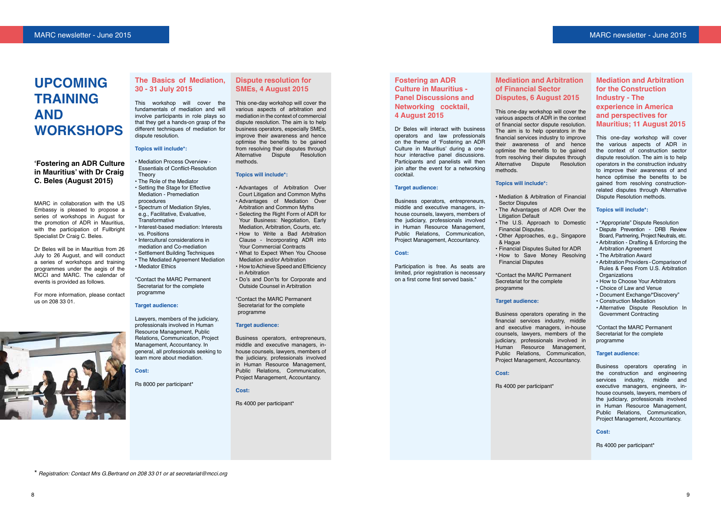## **Upcoming training and workshops**

#### **'Fostering an ADR Culture in Mauritius' with Dr Craig C. Beles (August 2015)**

MARC in collaboration with the US Embassy is pleased to propose a series of workshops in August for the promotion of ADR in Mauritius, with the participation of Fullbright Specialist Dr Craig C. Beles.

Dr Beles will be in Mauritius from 26 July to 26 August, and will conduct a series of workshops and training programmes under the aegis of the MCCI and MARC. The calendar of events is provided as follows.

For more information, please contact us on 208 33 01.



This workshop will cover the fundamentals of mediation and will involve participants in role plays so that they get a hands-on grasp of the different techniques of mediation for dispute resolution.

#### **Topics will include\*:**

- Mediation Process Overview Essentials of Conflict-Resolution Theory
- The Role of the Mediator • Setting the Stage for Effective Mediation - Premediation
- procedures
- Spectrum of Mediation Styles, e.g., Facilitative, Evaluative, Transformative
- Interest-based mediation: Interests vs. Positions
- Intercultural considerations in mediation and Co-mediation
- Settlement Building Techniques • The Mediated Agreement Mediation
- Mediator Ethics

\*Contact the MARC Permanent Secretariat for the complete programme

#### **Target audience:**

Lawyers, members of the judiciary, professionals involved in Human Resource Management, Public Relations, Communication, Project Management, Accountancy. In general, all professionals seeking to learn more about mediation.

#### **Cost:**

Rs 8000 per participant\*

#### **Dispute resolution for SMEs, 4 August 2015**

This one-day workshop will cover the various aspects of arbitration and mediation in the context of commercial dispute resolution. The aim is to help business operators, especially SMEs, improve their awareness and hence optimise the benefits to be gained from resolving their disputes through Alternative Dispute Resolution methods.

#### **Topics will include\*:**

- Advantages of Arbitration Over Court Litigation and Common Myths • Advantages of Mediation Over Arbitration and Common Myths
- Selecting the Right Form of ADR for Your Business: Negotiation, Early Mediation, Arbitration, Courts, etc.
- How to Write a Bad Arbitration Clause - Incorporating ADR into Your Commercial Contracts
- What to Expect When You Choose Mediation and/or Arbitration
- How to Achieve Speed and Efficiency in Arbitration
- Do's and Don'ts for Corporate and Outside Counsel in Arbitration

\*Contact the MARC Permanent Secretariat for the complete programme

#### **Target audience:**

Business operators, entrepreneurs, middle and executive managers, inhouse counsels, lawyers, members of the judiciary, professionals involved in Human Resource Management, Public Relations, Communication, Project Management, Accountancy.

#### **Cost:**

Rs 4000 per participant\*

#### **Fostering an ADR Culture in Mauritius - Panel Discussions and Networking cocktail, 4 August 2015**

Dr Beles will interact with business operators and law professionals on the theme of 'Fostering an ADR Culture in Mauritius' during a onehour interactive panel discussions. Participants and panelists will then join after the event for a networking cocktail.

#### **Target audience:**

Business operators, entrepreneurs, middle and executive managers, inhouse counsels, lawyers, members of the judiciary, professionals involved in Human Resource Management, Public Relations, Communication, Project Management, Accountancy.

#### **Cost:**

Participation is free. As seats are limited, prior registration is necessary on a first come first served basis.\*

#### **Mediation and Arbitration of Financial Sector Disputes, 6 August 2015**

This one-day workshop will cover the various aspects of ADR in the context of financial sector dispute resolution. The aim is to help operators in the financial services industry to improve their awareness of and hence optimise the benefits to be gained from resolving their disputes through Alternative Dispute Resolution

methods.

#### **Topics will include\*:**

Sector Disputes

Litigation Default

- Mediation & Arbitration of Financial
- The Advantages of ADR Over the
- The U.S. Approach to Domestic Financial Disputes.
- Other Approaches, e.g., Singapore
- Financial Disputes Suited for ADR • How to Save Money Resolving
- \*Contact the MARC Permanent Secretariat for the complete

& Hague

Financial Disputes

programme

#### **Target audience:**

Business operators operating in the financial services industry, middle and executive managers, in-house counsels, lawyers, members of the judiciary, professionals involved in Human Resource Management, Public Relations, Communication, Project Management, Accountancy.

**Cost:**

Rs 4000 per participant\*



#### **Mediation and Arbitration for the Construction Industry - The experience in America and perspectives for Mauritius; 11 August 2015**

This one-day workshop will cover the various aspects of ADR in the context of construction sector dispute resolution. The aim is to help operators in the construction industry to improve their awareness of and hence optimise the benefits to be gained from resolving constructionrelated disputes through Alternative Dispute Resolution methods.

#### **Topics will include\*:**

- "Appropriate" Dispute Resolution
- Dispute Prevention DRB Review Board, Partnering, Project Neutrals, etc. • Arbitration - Drafting & Enforcing the
- Arbitration Agreement • The Arbitration Award
- Arbitration Providers Comparison of Rules & Fees From U.S. Arbitration **Organizations**
- How to Choose Your Arbitrators
- Choice of Law and Venue
- Document Exchange/"Discovery"
- Construction Mediation
- Alternative Dispute Resolution In Government Contracting

\*Contact the MARC Permanent Secretariat for the complete programme

#### **Target audience:**

Business operators operating in the construction and engineering services industry, middle and executive managers, engineers, inhouse counsels, lawyers, members of the judiciary, professionals involved in Human Resource Management, Public Relations, Communication, Project Management, Accountancy.

#### **Cost:**

Rs 4000 per participant\*

\* Registration: Contact Mrs G.Bertrand on 208 33 01 or at secretariat@mcci.org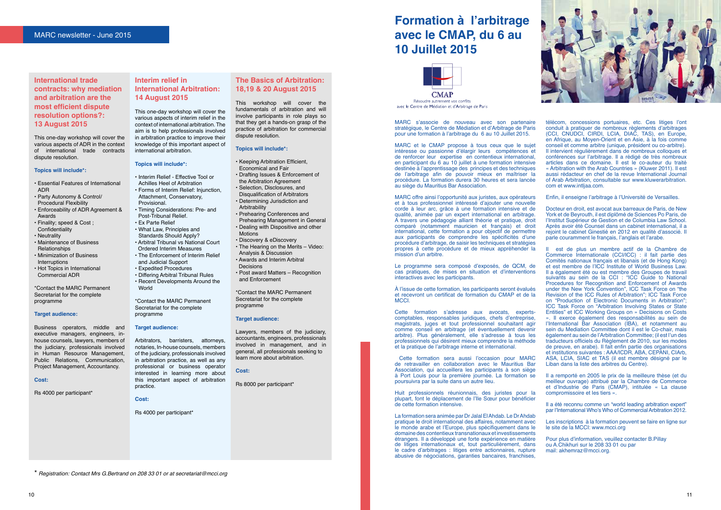#### **International trade contracts: why mediation and arbitration are the most efficient dispute resolution options?: 13 August 2015**

This one-day workshop will cover the various aspects of ADR in the context of international trade contracts dispute resolution.

#### **Topics will include\*:**

- Essential Features of International ADR
- Party Autonomy & Control/ Procedural Flexibility
- Enforceability of ADR Agreement & Awards
- Finality; speed & Cost ; **Confidentiality**
- Neutrality
- Maintenance of Business Relationships
- Minimization of Business Interruptions
- Hot Topics in International Commercial ADR

\*Contact the MARC Permanent Secretariat for the complete programme

#### **Target audience:**

Business operators, middle and executive managers, engineers, inhouse counsels, lawyers, members of the judiciary, professionals involved in Human Resource Management, Public Relations, Communication, Project Management, Accountancy.

#### **Cost:**

Rs 4000 per participant\*

#### **Interim relief in International Arbitration: 14 August 2015**

This one-day workshop will cover the various aspects of interim relief in the context of international arbitration. The aim is to help professionals involved in arbitration practice to improve their knowledge of this important aspect of international arbitration.

#### **Topics will include\*:**

- Interim Relief Effective Tool or
- Achilles Heel of Arbitration
- Forms of Interim Relief: Injunction, Attachment, Conservatory,
- Provisional. • Timing Considerations: Pre- and
- Post-Tribunal Relief. • Ex Parte Relief
- What Law, Principles and Standards Should Apply?
- Arbitral Tribunal vs National Court Ordered Interim Measures
- The Enforcement of Interim Relief and Judicial Support
- Expedited Procedures
	- Differing Arbitral Tribunal Rules • Recent Developments Around the World

\*Contact the MARC Permanent Secretariat for the complete programme

#### **Target audience:**

Arbitrators, barristers, attorneys, notaries, In-house counsels, members of the judiciary, professionals involved in arbitration practice, as well as any professional or business operator interested in learning more about this important aspect of arbitration practice.

**Cost:**

Rs 4000 per participant\*

#### **The Basics of Arbitration: 18,19 & 20 August 2015**

This workshop will cover the fundamentals of arbitration and will involve participants in role plays so that they get a hands-on grasp of the practice of arbitration for commercial dispute resolution.

#### **Topics will include\*:**

- Keeping Arbitration Efficient, Economical and Fair
- Drafting Issues & Enforcement of the Arbitration Agreement
- Selection, Disclosures, and Disqualification of Arbitrators • Determining Jurisdiction and
- Arbitrability • Prehearing Conferences and
- Prehearing Management in General • Dealing with Dispositive and other Motions
- Discovery & eDiscovery
- The Hearing on the Merits Video: Analysis & Discussion
- Awards and Interim Arbitral Decisions
- Post award Matters Recognition and Enforcement

\*Contact the MARC Permanent Secretariat for the complete programme

#### **Target audience:**

Lawyers, members of the judiciary, accountants, engineers, professionals involved in management, and in general, all professionals seeking to learn more about arbitration.

#### **Cost:**

Rs 8000 per participant\*

**CMAP** Résoudre autrement vos conflits avec le Centre de Médiation et d'Arbitrage de Paris

MARC s'associe de nouveau avec son partenaire stratégique, le Centre de Médiation et d'Arbitrage de Paris pour une formation à l'arbitrage du 6 au 10 Juillet 2015.

MARC et le CMAP propose à tous ceux que le sujet intéresse ou passionne d'élargir leurs compétences et de renforcer leur expertise en contentieux international, en participant du 6 au 10 juillet à une formation intensive destinée à l'apprentissage des principes et des techniques de l'arbitrage afin de pouvoir mieux en maîtriser la procédure. La formation durera 30 heures et sera lancée au siège du Mauritius Bar Association.

MARC offre ainsi l'opportunité aux juristes, aux opérateurs et à tous professionnel intéressé d'ajouter une nouvelle corde à leur arc, grâce à une formation intensive et de qualité, animée par un expert international en arbitrage. A travers une pédagogie alliant théorie et pratique, droit comparé (notamment mauricien et français) et droit international, cette formation a pour objectif de permettre aux participants de comprendre les spécificités d'une procédure d'arbitrage, de saisir les techniques et stratégies propres à cette procédure et de mieux appréhender la mission d'un arbitre.



Le programme sera composé d'exposés, de QCM, de cas pratiques, de mises en situation et d'interventions interactives avec les participants.

À l'issue de cette formation, les participants seront évalués et recevront un certificat de formation du CMAP et de la MCCI.

Cette formation s'adresse aux avocats, expertscomptables, responsables juridiques, chefs d'entreprise, magistrats, juges et tout professionnel souhaitant agir comme conseil en arbitrage (et éventuellement devenir arbitre). Plus généralement, elle s'adresse à tous les professionnels qui désirent mieux comprendre la méthode et la pratique de l'arbitrage interne et international.

 Cette formation sera aussi l'occasion pour MARC de retravailler en collaboration avec le Mauritius Bar Association, qui accueillera les participants à son siège à Port Louis pour la première journée. La formation se poursuivra par la suite dans un autre lieu.

Huit professionnels réunionnais, des juristes pour la plupart, font le déplacement de l'Ile Sœur pour bénéficier de cette formation intensive.

La formation sera animée par Dr Jalal El Ahdab. Le Dr Ahdab pratique le droit international des affaires, notamment avec le monde arabe et l'Europe, plus spécifiquement dans le domaine des contentieux transnationaux et investissements étrangers. Il a développé une forte expérience en matière de litiges internationaux et, tout particulièrement, dans le cadre d'arbitrages : litiges entre actionnaires, rupture abusive de négociations, garanties bancaires, franchises,

télécom, concessions portuaires, etc. Ces litiges l'ont conduit à pratiquer de nombreux règlements d'arbitrages (CCI, CNUDCI, CIRDI, LCIA, DIAC, TAS), en Europe, en Afrique, au Moyen-Orient et en Asie, à la fois comme conseil et comme arbitre (unique, président ou co-arbitre). Il intervient régulièrement dans de nombreux colloques et conférences sur l'arbitrage. Il a rédigé de très nombreux articles dans ce domaine. Il est le co-auteur du traité « Arbitration with the Arab Countries » (Kluwer 2011). Il est aussi rédacteur en chef de la revue International Journal of Arab Arbitration, consultable sur www.kluwerarbitration. com et www.intljaa.com.

Enfin, il enseigne l'arbitrage à l'Université de Versailles.

Docteur en droit, est avocat aux barreaux de Paris, de New York et de Beyrouth, il est diplômé de Sciences Po Paris, de l'Institut Supérieur de Gestion et de Columbia Law School. Après avoir été Counsel dans un cabinet international, il a rejoint le cabinet Ginestié en 2012 en qualité d'associé. Il parle couramment le français, l'anglais et l'arabe.

Il est de plus un membre actif de la Chambre de Commerce Internationale (CCI/ICC) : il fait partie des Comités nationaux français et libanais (et de Hong Kong) et est membre de l'ICC Institute of World Business Law. Il a également été ou est membre des Groupes de travail suivants au sein de la CCI : "ICC Guide to National Procedures for Recognition and Enforcement of Awards under the New York Convention", ICC Task Force on "the Revision of the ICC Rules of Arbitration"; ICC Task Force on "Production of Electronic Documents in Arbitration"; ICC Task Force on "Arbitration Involving States or State Entities" et ICC Working Groups on » Decisions on Costs ». Il exerce également des responsabilités au sein de l'International Bar Association (IBA), et notamment au sein du Mediation Committee dont il est le Co-chair, mais également au sein de l'Arbitration Committee; (il est l'un des traducteurs officiels du Règlement de 2010, sur les modes de preuve, en arabe). Il fait enfin partie des organisations et institutions suivantes : AAA/ICDR, ABA, CEPANI, CIArb, ASA, LCIA, SIAC et TAS (il est membre désigné par le Liban dans la liste des arbitres du Centre).

Il a remporté en 2005 le prix de la meilleure thèse (et du meilleur ouvrage) attribué par la Chambre de Commerce et d'Industrie de Paris (CMAP), intitulée « La clause compromissoire et les tiers ».

Il a été reconnu comme un "world leading arbitration expert" par l'International Who's Who of Commercial Arbitration 2012.

Les inscriptions à la formation peuvent se faire en ligne sur le site de la MCCI: www.mcci.org

Pour plus d'information, veuillez contacter B.Pillay ou A.Chikhuri sur le 208 33 01 ou par mail: akhemraz@mcci.org.



\* Registration: Contact Mrs G.Bertrand on 208 33 01 or at secretariat@mcci.org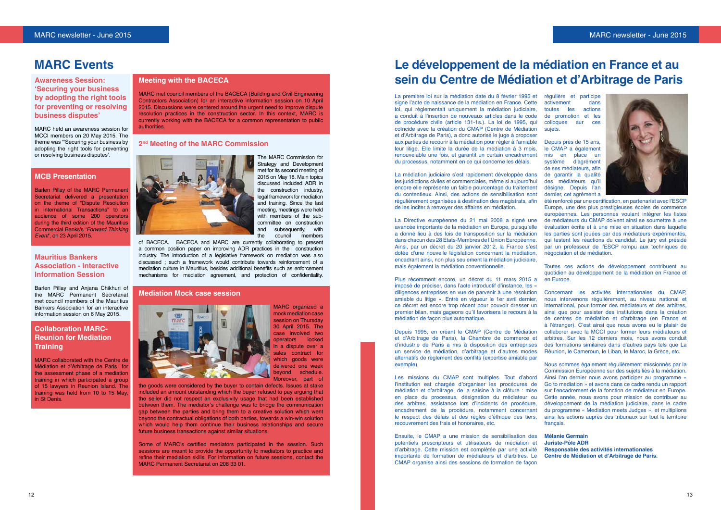#### **Meeting with the BACECA**

The MARC Commission for Strategy and Development met for its second meeting of 2015 on May 18. Main topics discussed included ADR in the construction industry, legal framework for mediation and training. Since the last meeting, meetings were held with members of the subcommittee on construction<br>and subsequently, with and subsequently, with<br>the council members council members

MARC met council members of the BACECA (Building and Civil Engineering Contractors Association) for an interactive information session on 10 April 2015. Discussions were centered around the urgent need to improve dispute resolution practices in the construction sector. In this context, MARC is currently working with the BACECA for a common representation to public authorities.

#### **2nd Meeting of the MARC Commission**



of BACECA. BACECA and MARC are currently collaborating to present a common position paper on improving ADR practices in the construction industry. The introduction of a legislative framework on mediation was also discussed ; such a framework would contribute towards reinforcement of a mediation culture in Mauritius, besides additional benefits such as enforcement mechanisms for mediation agreement, and protection of confidentiality.

#### **Mediation Mock case session**



MARC organized a mock mediation case session on Thursday 30 April 2015. The case involved two operators locked in a dispute over a sales contract for which goods were delivered one week beyond schedule. Moreover, part of

the goods were considered by the buyer to contain defects. Issues at stake included an amount outstanding which the buyer refused to pay arguing that the seller did not respect an exclusivity usage that had been established between them. The mediator's challenge was to bridge the communication gap between the parties and bring them to a creative solution which went beyond the contractual obligations of both parties, towards a win-win solution which would help them continue their business relationships and secure future business transactions against similar situations.

Some of MARC's certified mediators participated in the session. Such sessions are meant to provide the opportunity to mediators to practice and refine their mediation skills. For information on future sessions, contact the MARC Permanent Secretariat on 208 33 01.

### **MARC Events**

**Awareness Session: 'Securing your business by adopting the right tools for preventing or resolving business disputes'**

MARC held an awareness session for MCCI members on 20 May 2015. The theme was "'Securing your business by adopting the right tools for preventing or resolving business disputes'.

#### **MCB Presentation**

Barlen Pillay of the MARC Permanent Secretariat delivered a presentation on the theme of "Dispute Resolution in International Transactions" to an audience of some 200 operators during the third edition of the Mauritius Commercial Banks's '*Forward Thinking Event*', on 23 April 2015.

#### **Mauritius Bankers Association - Interactive Information Session**

Barlen Pillay and Anjana Chikhuri of the MARC Permanent Secretariat met council members of the Mauritius Bankers Association for an interactive information session on 6 May 2015.

#### **Collaboration MARC-Reunion for Mediation Training**

régulière et participe<br>activement dans activement dans<br>toutes les actions toutes les de promotion et les<br>colloques sur ces colloques sur sujets.

MARC collaborated with the Centre de Médiation et d'Arbitrage de Paris for the assessment phase of a mediation training in which participated a group of 15 lawyers in Reunion Island. The training was held from 10 to 15 May, in St Denis.

## **Le développement de la médiation en France et au sein du Centre de Médiation et d'Arbitrage de Paris**

La première loi sur la médiation date du 8 février 1995 et signe l'acte de naissance de la médiation en France. Cette loi, qui réglementait uniquement la médiation judiciaire, a conduit à l'insertion de nouveaux articles dans le code de procédure civile (article 131-1s.). La loi de 1995, qui coïncide avec la création du CMAP (Centre de Médiation et d'Arbitrage de Paris), a donc autorisé le juge à proposer aux parties de recourir à la médiation pour régler à l'amiable leur litige. Elle limite la durée de la médiation à 3 mois, renouvelable une fois, et garantit un certain encadrement du processus, notamment en ce qui concerne les délais.

La médiation judiciaire s'est rapidement développée dans les juridictions civiles et commerciales, même si aujourd'hui encore elle représente un faible pourcentage du traitement du contentieux. Ainsi, des actions de sensibilisation sont régulièrement organisées à destination des magistrats, afin de les inciter à renvoyer des affaires en médiation.

La Directive européenne du 21 mai 2008 a signé une avancée importante de la médiation en Europe, puisqu'elle a donné lieu à des lois de transposition sur la médiation dans chacun des 28 Etats-Membres de l'Union Européenne. Ainsi, par un décret du 20 janvier 2012, la France s'est dotée d'une nouvelle législation concernant la médiation, encadrant ainsi, non plus seulement la médiation judiciaire, mais également la médiation conventionnelle.

Plus récemment encore, un décret du 11 mars 2015 a imposé de préciser, dans l'acte introductif d'instance, les « diligences entreprises en vue de parvenir à une résolution amiable du litige ». Entré en vigueur le 1er avril dernier, ce décret est encore trop récent pour pouvoir dresser un premier bilan, mais gageons qu'il favorisera le recours à la médiation de façon plus automatique.

Depuis 1995, en créant le CMAP (Centre de Médiation et d'Arbitrage de Paris), la Chambre de commerce et d'industrie de Paris a mis à disposition des entreprises un service de médiation, d'arbitrage et d'autres modes alternatifs de règlement des conflits (expertise amiable par exemple).

Ensuite, le CMAP a une mission de sensibilisation des potentiels prescripteurs et utilisateurs de médiation et d'arbitrage. Cette mission est complétée par une activité importante de formation de médiateurs et d'arbitres. Le CMAP organise ainsi des sessions de formation de façon

Depuis près de 15 ans, le CMAP a également mis en place un système d'agrément de ses médiateurs, afin de garantir la qualité des médiateurs qu'il désigne. Depuis l'an dernier, cet agrément a



été renforcé par une certification, en partenariat avec l'ESCP Europe, une des plus prestigieuses écoles de commerce européennes. Les personnes voulant intégrer les listes de médiateurs du CMAP doivent ainsi se soumettre à une évaluation écrite et à une mise en situation dans laquelle les parties sont jouées par des médiateurs expérimentés. qui testent les réactions du candidat. Le jury est présidé par un professeur de l'ESCP rompu aux techniques de négociation et de médiation.

Les missions du CMAP sont multiples. Tout d'abord l'institution est chargée d'organiser les procédures de médiation et d'arbitrage, de la saisine à la clôture : mise en place du processus, désignation du médiateur ou des arbitres, assistance lors d'incidents de procédure, encadrement de la procédure, notamment concernant le respect des délais et des règles d'éthique des tiers, recouvrement des frais et honoraires, etc. Nous sommes également régulièrement missionnés par la Commission Européenne sur des sujets liés à la médiation. Ainsi l'an dernier nous avons participer au programme « Go to mediation » et avons dans ce cadre rendu un rapport sur l'encadrement de la fonction de médiateur en Europe. Cette année, nous avons pour mission de contribuer au développement de la médiation judiciaire, dans le cadre du programme « Mediation meets Judges », et multiplions ainsi les actions auprès des tribunaux sur tout le territoire français.

Toutes ces actions de développement contribuent au quotidien au développement de la médiation en France et en Europe.

Concernant les activités internationales du CMAP, nous intervenons régulièrement, au niveau national et international, pour former des médiateurs et des arbitres, ainsi que pour assister des institutions dans la création de centres de médiation et d'arbitrage (en France et à l'étranger). C'est ainsi que nous avons eu le plaisir de collaborer avec la MCCI pour former leurs médiateurs et arbitres. Sur les 12 derniers mois, nous avons conduit des formations similaires dans d'autres pays tels que La Réunion, le Cameroun, le Liban, le Maroc, la Grèce, etc.

**Mélanie Germain Juriste-Pôle ADR Responsable des activités internationales Centre de Médiation et d'Arbitrage de Paris.**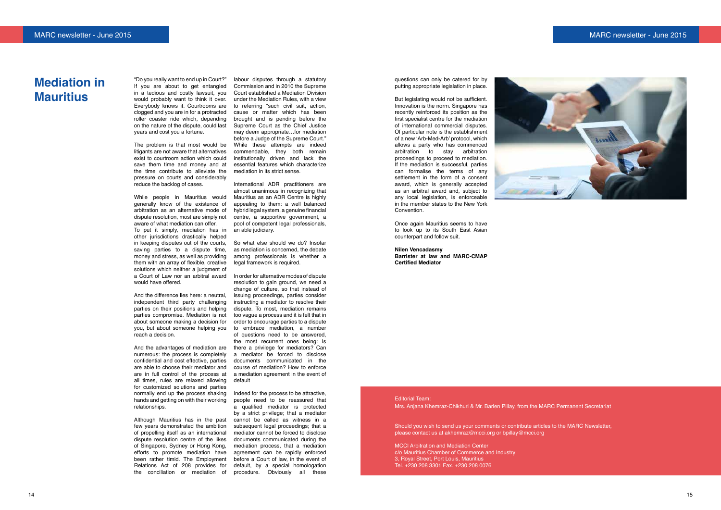#### MARC newsletter - June 2015 MARC newsletter - June 2015

## **Mediation in Mauritius**

"Do you really want to end up in Court?" If you are about to get entangled in a tedious and costly lawsuit, you would probably want to think it over. Everybody knows it. Courtrooms are clogged and you are in for a protracted roller coaster ride which, depending on the nature of the dispute, could last years and cost you a fortune.

The problem is that most would be While these attempts are indeed litigants are not aware that alternatives exist to courtroom action which could save them time and money and at the time contribute to alleviate the pressure on courts and considerably reduce the backlog of cases.

While people in Mauritius would generally know of the existence of arbitration as an alternative mode of dispute resolution, most are simply not aware of what mediation can offer. To put it simply, mediation has in other jurisdictions drastically helped in keeping disputes out of the courts, saving parties to a dispute time, money and stress, as well as providing them with an array of flexible, creative solutions which neither a judgment of a Court of Law nor an arbitral award In order for alternative modes of dispute would have offered.

And the difference lies here: a neutral, independent third party challenging parties on their positions and helping parties compromise. Mediation is not about someone making a decision for you, but about someone helping you reach a decision.

And the advantages of mediation are numerous: the process is completely a mediator be forced to disclose confidential and cost effective, parties are able to choose their mediator and are in full control of the process at all times, rules are relaxed allowing for customized solutions and parties normally end up the process shaking hands and getting on with their working relationships.

resolution to gain ground, we need a change of culture, so that instead of issuing proceedings, parties consider instructing a mediator to resolve their dispute. To most, mediation remains too vague a process and it is felt that in order to encourage parties to a dispute to embrace mediation, a number of questions need to be answered, the most recurrent ones being: Is there a privilege for mediators? Can documents communicated in the course of mediation? How to enforce a mediation agreement in the event of default

Although Mauritius has in the past few years demonstrated the ambition of propelling itself as an international dispute resolution centre of the likes of Singapore, Sydney or Hong Kong, efforts to promote mediation have been rather timid. The Employment Relations Act of 208 provides for

labour disputes through a statutory Commission and in 2010 the Supreme Court established a Mediation Division under the Mediation Rules, with a view to referring "such civil suit, action, cause or matter which has been brought and is pending before the Supreme Court as the Chief Justice may deem appropriate…for mediation before a Judge of the Supreme Court." commendable, they both remain institutionally driven and lack the essential features which characterize mediation in its strict sense.

International ADR practitioners are almost unanimous in recognizing that Mauritius as an ADR Centre is highly appealing to them: a well balanced hybrid legal system, a genuine financial centre, a supportive government, a pool of competent legal professionals, an able judiciary.

So what else should we do? Insofar as mediation is concerned, the debate among professionals is whether a legal framework is required.

the conciliation or mediation of procedure. Obviously all these Indeed for the process to be attractive, people need to be reassured that a qualified mediator is protected by a strict privilege; that a mediator cannot be called as witness in a subsequent legal proceedings; that a mediator cannot be forced to disclose documents communicated during the mediation process, that a mediation agreement can be rapidly enforced before a Court of law, in the event of default, by a special homologation

questions can only be catered for by putting appropriate legislation in place.

But legislating would not be sufficient. Innovation is the norm. Singapore has recently reinforced its position as the first specialist centre for the mediation of international commercial disputes. Of particular note is the establishment of a new 'Arb-Med-Arb' protocol, which allows a party who has commenced arbitration to stay arbitration proceedings to proceed to mediation. If the mediation is successful, parties can formalise the terms of any settlement in the form of a consent award, which is generally accepted as an arbitral award and, subject to any local legislation, is enforceable in the member states to the New York Convention.

Once again Mauritius seems to have to look up to its South East Asian counterpart and follow suit.

#### **Nilen Vencadasmy**

**Barrister at law and MARC-CMAP Certified Mediator**

#### Editorial Team:

Mrs. Anjana Khemraz-Chikhuri & Mr. Barlen Pillay, from the MARC Permanent Secretariat

Should you wish to send us your comments or contribute articles to the MARC Newsletter , please contact us at akhemraz@mcci.org or bpillay@mcci.org

MCCI Arbitration and Mediation Center c/o Mauritius Chamber of Commerce and Industry 3, Royal Street, Port Louis, Mauritius Tel. +230 208 3301 Fax. +230 208 0076